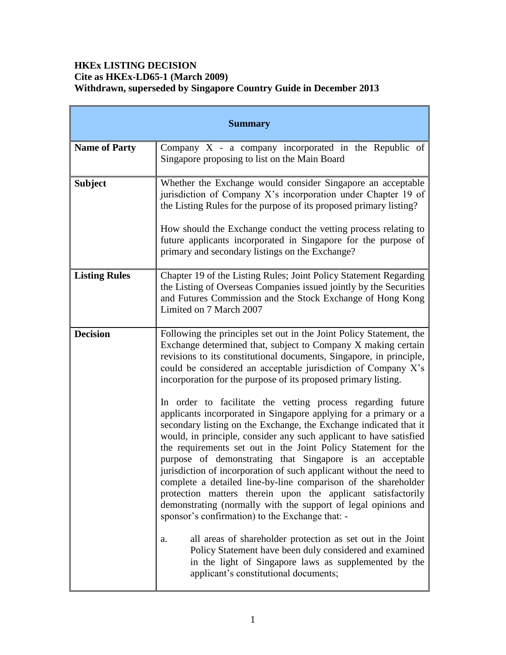# **HKEx LISTING DECISION Cite as HKEx-LD65-1 (March 2009) Withdrawn, superseded by Singapore Country Guide in December 2013**

| <b>Summary</b>       |                                                                                                                                                                                                                                                                                                                                                                                                                                                                                                                                                                                                                                                                                                                                        |  |  |
|----------------------|----------------------------------------------------------------------------------------------------------------------------------------------------------------------------------------------------------------------------------------------------------------------------------------------------------------------------------------------------------------------------------------------------------------------------------------------------------------------------------------------------------------------------------------------------------------------------------------------------------------------------------------------------------------------------------------------------------------------------------------|--|--|
| <b>Name of Party</b> | Company $X - a$ company incorporated in the Republic of<br>Singapore proposing to list on the Main Board                                                                                                                                                                                                                                                                                                                                                                                                                                                                                                                                                                                                                               |  |  |
| <b>Subject</b>       | Whether the Exchange would consider Singapore an acceptable<br>jurisdiction of Company X's incorporation under Chapter 19 of<br>the Listing Rules for the purpose of its proposed primary listing?<br>How should the Exchange conduct the vetting process relating to<br>future applicants incorporated in Singapore for the purpose of<br>primary and secondary listings on the Exchange?                                                                                                                                                                                                                                                                                                                                             |  |  |
| <b>Listing Rules</b> | Chapter 19 of the Listing Rules; Joint Policy Statement Regarding<br>the Listing of Overseas Companies issued jointly by the Securities<br>and Futures Commission and the Stock Exchange of Hong Kong<br>Limited on 7 March 2007                                                                                                                                                                                                                                                                                                                                                                                                                                                                                                       |  |  |
| <b>Decision</b>      | Following the principles set out in the Joint Policy Statement, the<br>Exchange determined that, subject to Company X making certain<br>revisions to its constitutional documents, Singapore, in principle,<br>could be considered an acceptable jurisdiction of Company X's<br>incorporation for the purpose of its proposed primary listing.                                                                                                                                                                                                                                                                                                                                                                                         |  |  |
|                      | In order to facilitate the vetting process regarding future<br>applicants incorporated in Singapore applying for a primary or a<br>secondary listing on the Exchange, the Exchange indicated that it<br>would, in principle, consider any such applicant to have satisfied<br>the requirements set out in the Joint Policy Statement for the<br>purpose of demonstrating that Singapore is an acceptable<br>jurisdiction of incorporation of such applicant without the need to<br>complete a detailed line-by-line comparison of the shareholder<br>protection matters therein upon the applicant satisfactorily<br>demonstrating (normally with the support of legal opinions and<br>sponsor's confirmation) to the Exchange that: - |  |  |
|                      | all areas of shareholder protection as set out in the Joint<br>a.<br>Policy Statement have been duly considered and examined<br>in the light of Singapore laws as supplemented by the<br>applicant's constitutional documents;                                                                                                                                                                                                                                                                                                                                                                                                                                                                                                         |  |  |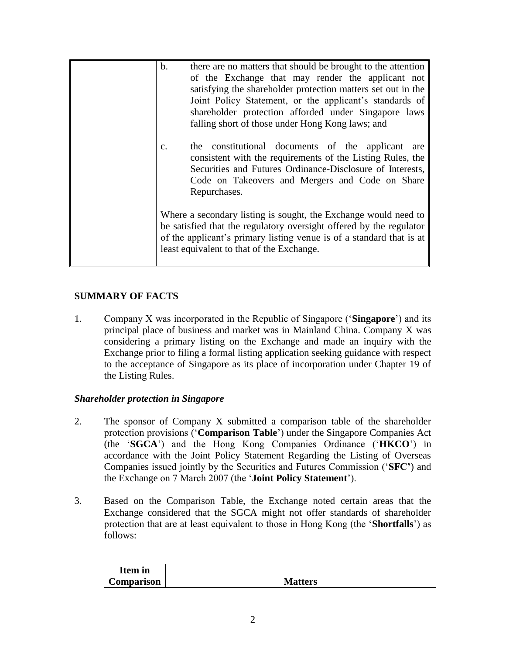| $\mathbf b$ .<br>$\mathcal{C}$ . | there are no matters that should be brought to the attention<br>of the Exchange that may render the applicant not<br>satisfying the shareholder protection matters set out in the<br>Joint Policy Statement, or the applicant's standards of<br>shareholder protection afforded under Singapore laws<br>falling short of those under Hong Kong laws; and<br>the constitutional documents of the applicant are<br>consistent with the requirements of the Listing Rules, the<br>Securities and Futures Ordinance-Disclosure of Interests,<br>Code on Takeovers and Mergers and Code on Share<br>Repurchases. |
|----------------------------------|-------------------------------------------------------------------------------------------------------------------------------------------------------------------------------------------------------------------------------------------------------------------------------------------------------------------------------------------------------------------------------------------------------------------------------------------------------------------------------------------------------------------------------------------------------------------------------------------------------------|
|                                  | Where a secondary listing is sought, the Exchange would need to<br>be satisfied that the regulatory oversight offered by the regulator<br>of the applicant's primary listing venue is of a standard that is at<br>least equivalent to that of the Exchange.                                                                                                                                                                                                                                                                                                                                                 |

## **SUMMARY OF FACTS**

1. Company X was incorporated in the Republic of Singapore ('**Singapore**') and its principal place of business and market was in Mainland China. Company X was considering a primary listing on the Exchange and made an inquiry with the Exchange prior to filing a formal listing application seeking guidance with respect to the acceptance of Singapore as its place of incorporation under Chapter 19 of the Listing Rules.

## *Shareholder protection in Singapore*

- 2. The sponsor of Company X submitted a comparison table of the shareholder protection provisions ('**Comparison Table**') under the Singapore Companies Act (the '**SGCA**') and the Hong Kong Companies Ordinance ('**HKCO**') in accordance with the Joint Policy Statement Regarding the Listing of Overseas Companies issued jointly by the Securities and Futures Commission ('**SFC'**) and the Exchange on 7 March 2007 (the '**Joint Policy Statement**').
- 3. Based on the Comparison Table, the Exchange noted certain areas that the Exchange considered that the SGCA might not offer standards of shareholder protection that are at least equivalent to those in Hong Kong (the '**Shortfalls**') as follows:

| Item in    |                |
|------------|----------------|
| Comparison | <b>Matters</b> |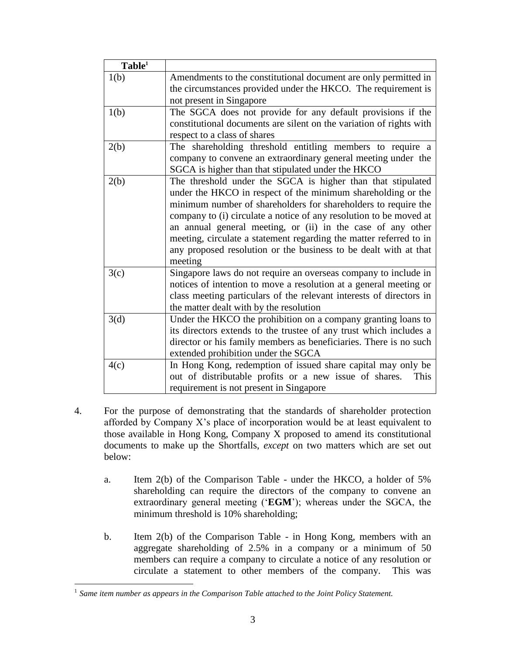| Table <sup>1</sup> |                                                                                                                                                                                                                                                                                                                                                                                                                                                                                         |
|--------------------|-----------------------------------------------------------------------------------------------------------------------------------------------------------------------------------------------------------------------------------------------------------------------------------------------------------------------------------------------------------------------------------------------------------------------------------------------------------------------------------------|
| 1(b)               | Amendments to the constitutional document are only permitted in<br>the circumstances provided under the HKCO. The requirement is<br>not present in Singapore                                                                                                                                                                                                                                                                                                                            |
| 1(b)               | The SGCA does not provide for any default provisions if the<br>constitutional documents are silent on the variation of rights with<br>respect to a class of shares                                                                                                                                                                                                                                                                                                                      |
| 2(b)               | The shareholding threshold entitling members to require a<br>company to convene an extraordinary general meeting under the<br>SGCA is higher than that stipulated under the HKCO                                                                                                                                                                                                                                                                                                        |
| 2(b)               | The threshold under the SGCA is higher than that stipulated<br>under the HKCO in respect of the minimum shareholding or the<br>minimum number of shareholders for shareholders to require the<br>company to (i) circulate a notice of any resolution to be moved at<br>an annual general meeting, or (ii) in the case of any other<br>meeting, circulate a statement regarding the matter referred to in<br>any proposed resolution or the business to be dealt with at that<br>meeting |
| 3(c)               | Singapore laws do not require an overseas company to include in<br>notices of intention to move a resolution at a general meeting or<br>class meeting particulars of the relevant interests of directors in<br>the matter dealt with by the resolution                                                                                                                                                                                                                                  |
| 3(d)               | Under the HKCO the prohibition on a company granting loans to<br>its directors extends to the trustee of any trust which includes a<br>director or his family members as beneficiaries. There is no such<br>extended prohibition under the SGCA                                                                                                                                                                                                                                         |
| 4(c)               | In Hong Kong, redemption of issued share capital may only be<br>out of distributable profits or a new issue of shares.<br>This<br>requirement is not present in Singapore                                                                                                                                                                                                                                                                                                               |

- 4. For the purpose of demonstrating that the standards of shareholder protection afforded by Company X's place of incorporation would be at least equivalent to those available in Hong Kong, Company X proposed to amend its constitutional documents to make up the Shortfalls, *except* on two matters which are set out below:
	- a. Item 2(b) of the Comparison Table under the HKCO, a holder of 5% shareholding can require the directors of the company to convene an extraordinary general meeting ('**EGM**'); whereas under the SGCA, the minimum threshold is 10% shareholding;
	- b. Item 2(b) of the Comparison Table in Hong Kong, members with an aggregate shareholding of 2.5% in a company or a minimum of 50 members can require a company to circulate a notice of any resolution or circulate a statement to other members of the company. This was

 $\overline{a}$ 

<sup>1</sup> *Same item number as appears in the Comparison Table attached to the Joint Policy Statement.*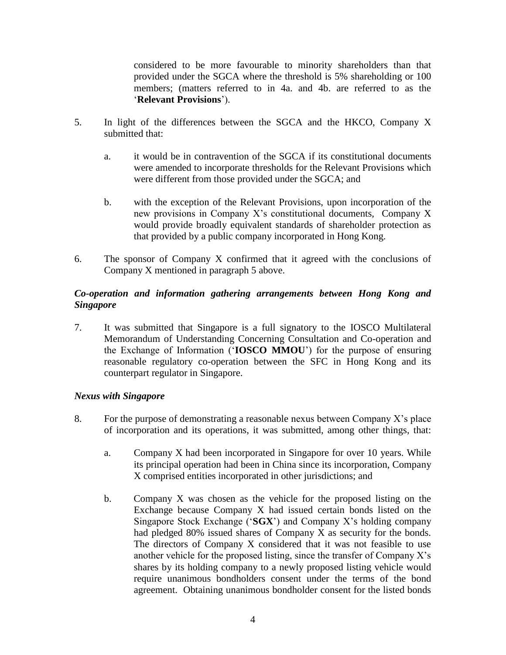considered to be more favourable to minority shareholders than that provided under the SGCA where the threshold is 5% shareholding or 100 members; (matters referred to in 4a. and 4b. are referred to as the '**Relevant Provisions**').

- 5. In light of the differences between the SGCA and the HKCO, Company X submitted that:
	- a. it would be in contravention of the SGCA if its constitutional documents were amended to incorporate thresholds for the Relevant Provisions which were different from those provided under the SGCA; and
	- b. with the exception of the Relevant Provisions, upon incorporation of the new provisions in Company X's constitutional documents, Company X would provide broadly equivalent standards of shareholder protection as that provided by a public company incorporated in Hong Kong.
- 6. The sponsor of Company X confirmed that it agreed with the conclusions of Company X mentioned in paragraph 5 above.

## *Co-operation and information gathering arrangements between Hong Kong and Singapore*

7. It was submitted that Singapore is a full signatory to the IOSCO Multilateral Memorandum of Understanding Concerning Consultation and Co-operation and the Exchange of Information ('**IOSCO MMOU**') for the purpose of ensuring reasonable regulatory co-operation between the SFC in Hong Kong and its counterpart regulator in Singapore.

## *Nexus with Singapore*

- 8. For the purpose of demonstrating a reasonable nexus between Company X's place of incorporation and its operations, it was submitted, among other things, that:
	- a. Company X had been incorporated in Singapore for over 10 years. While its principal operation had been in China since its incorporation, Company X comprised entities incorporated in other jurisdictions; and
	- b. Company X was chosen as the vehicle for the proposed listing on the Exchange because Company X had issued certain bonds listed on the Singapore Stock Exchange ('**SGX**') and Company X's holding company had pledged 80% issued shares of Company X as security for the bonds. The directors of Company X considered that it was not feasible to use another vehicle for the proposed listing, since the transfer of Company X's shares by its holding company to a newly proposed listing vehicle would require unanimous bondholders consent under the terms of the bond agreement. Obtaining unanimous bondholder consent for the listed bonds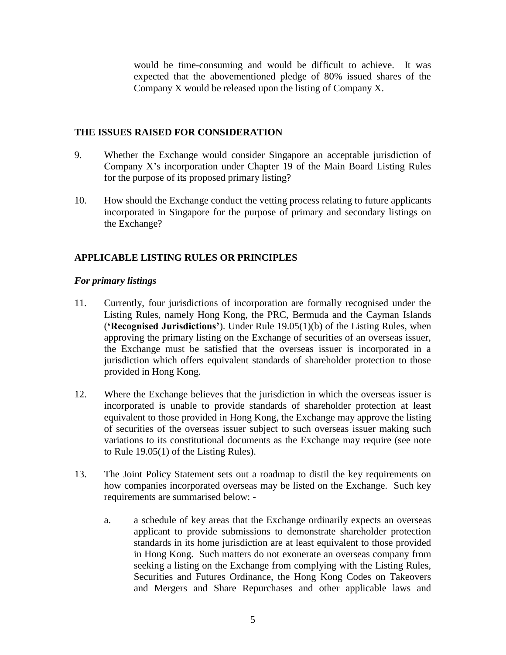would be time-consuming and would be difficult to achieve. It was expected that the abovementioned pledge of 80% issued shares of the Company X would be released upon the listing of Company X.

#### **THE ISSUES RAISED FOR CONSIDERATION**

- 9. Whether the Exchange would consider Singapore an acceptable jurisdiction of Company X's incorporation under Chapter 19 of the Main Board Listing Rules for the purpose of its proposed primary listing?
- 10. How should the Exchange conduct the vetting process relating to future applicants incorporated in Singapore for the purpose of primary and secondary listings on the Exchange?

## **APPLICABLE LISTING RULES OR PRINCIPLES**

#### *For primary listings*

- 11. Currently, four jurisdictions of incorporation are formally recognised under the Listing Rules, namely Hong Kong, the PRC, Bermuda and the Cayman Islands (**'Recognised Jurisdictions'**). Under Rule 19.05(1)(b) of the Listing Rules, when approving the primary listing on the Exchange of securities of an overseas issuer, the Exchange must be satisfied that the overseas issuer is incorporated in a jurisdiction which offers equivalent standards of shareholder protection to those provided in Hong Kong.
- 12. Where the Exchange believes that the jurisdiction in which the overseas issuer is incorporated is unable to provide standards of shareholder protection at least equivalent to those provided in Hong Kong, the Exchange may approve the listing of securities of the overseas issuer subject to such overseas issuer making such variations to its constitutional documents as the Exchange may require (see note to Rule 19.05(1) of the Listing Rules).
- 13. The Joint Policy Statement sets out a roadmap to distil the key requirements on how companies incorporated overseas may be listed on the Exchange. Such key requirements are summarised below:
	- a. a schedule of key areas that the Exchange ordinarily expects an overseas applicant to provide submissions to demonstrate shareholder protection standards in its home jurisdiction are at least equivalent to those provided in Hong Kong. Such matters do not exonerate an overseas company from seeking a listing on the Exchange from complying with the Listing Rules, Securities and Futures Ordinance, the Hong Kong Codes on Takeovers and Mergers and Share Repurchases and other applicable laws and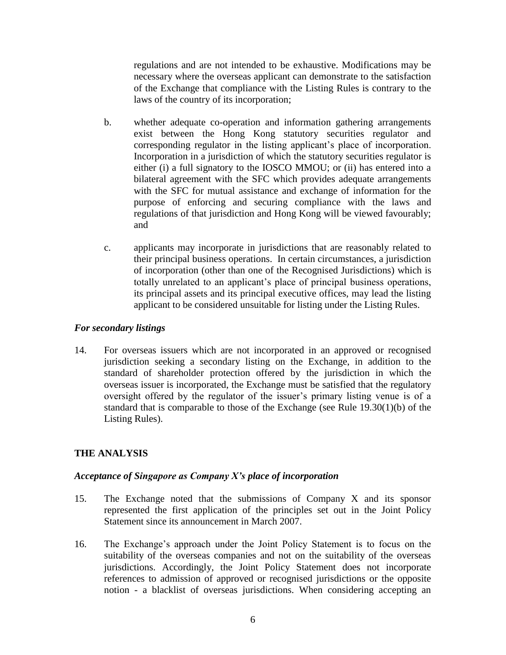regulations and are not intended to be exhaustive. Modifications may be necessary where the overseas applicant can demonstrate to the satisfaction of the Exchange that compliance with the Listing Rules is contrary to the laws of the country of its incorporation;

- b. whether adequate co-operation and information gathering arrangements exist between the Hong Kong statutory securities regulator and corresponding regulator in the listing applicant's place of incorporation. Incorporation in a jurisdiction of which the statutory securities regulator is either (i) a full signatory to the IOSCO MMOU; or (ii) has entered into a bilateral agreement with the SFC which provides adequate arrangements with the SFC for mutual assistance and exchange of information for the purpose of enforcing and securing compliance with the laws and regulations of that jurisdiction and Hong Kong will be viewed favourably; and
- c. applicants may incorporate in jurisdictions that are reasonably related to their principal business operations. In certain circumstances, a jurisdiction of incorporation (other than one of the Recognised Jurisdictions) which is totally unrelated to an applicant's place of principal business operations, its principal assets and its principal executive offices, may lead the listing applicant to be considered unsuitable for listing under the Listing Rules.

#### *For secondary listings*

14. For overseas issuers which are not incorporated in an approved or recognised jurisdiction seeking a secondary listing on the Exchange, in addition to the standard of shareholder protection offered by the jurisdiction in which the overseas issuer is incorporated, the Exchange must be satisfied that the regulatory oversight offered by the regulator of the issuer's primary listing venue is of a standard that is comparable to those of the Exchange (see Rule 19.30(1)(b) of the Listing Rules).

## **THE ANALYSIS**

#### *Acceptance of Singapore as Company X's place of incorporation*

- 15. The Exchange noted that the submissions of Company X and its sponsor represented the first application of the principles set out in the Joint Policy Statement since its announcement in March 2007.
- 16. The Exchange's approach under the Joint Policy Statement is to focus on the suitability of the overseas companies and not on the suitability of the overseas jurisdictions. Accordingly, the Joint Policy Statement does not incorporate references to admission of approved or recognised jurisdictions or the opposite notion - a blacklist of overseas jurisdictions. When considering accepting an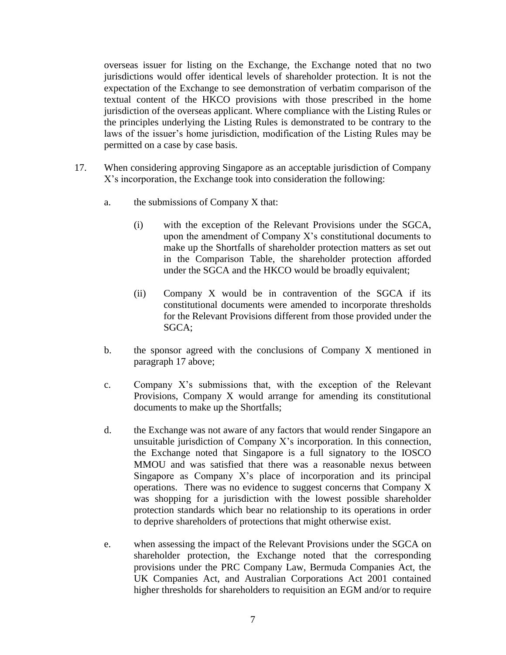overseas issuer for listing on the Exchange, the Exchange noted that no two jurisdictions would offer identical levels of shareholder protection. It is not the expectation of the Exchange to see demonstration of verbatim comparison of the textual content of the HKCO provisions with those prescribed in the home jurisdiction of the overseas applicant. Where compliance with the Listing Rules or the principles underlying the Listing Rules is demonstrated to be contrary to the laws of the issuer's home jurisdiction, modification of the Listing Rules may be permitted on a case by case basis.

- 17. When considering approving Singapore as an acceptable jurisdiction of Company X's incorporation, the Exchange took into consideration the following:
	- a. the submissions of Company X that:
		- (i) with the exception of the Relevant Provisions under the SGCA, upon the amendment of Company X's constitutional documents to make up the Shortfalls of shareholder protection matters as set out in the Comparison Table, the shareholder protection afforded under the SGCA and the HKCO would be broadly equivalent;
		- (ii) Company X would be in contravention of the SGCA if its constitutional documents were amended to incorporate thresholds for the Relevant Provisions different from those provided under the SGCA;
	- b. the sponsor agreed with the conclusions of Company X mentioned in paragraph 17 above;
	- c. Company X's submissions that, with the exception of the Relevant Provisions, Company X would arrange for amending its constitutional documents to make up the Shortfalls;
	- d. the Exchange was not aware of any factors that would render Singapore an unsuitable jurisdiction of Company X's incorporation. In this connection, the Exchange noted that Singapore is a full signatory to the IOSCO MMOU and was satisfied that there was a reasonable nexus between Singapore as Company X's place of incorporation and its principal operations. There was no evidence to suggest concerns that Company X was shopping for a jurisdiction with the lowest possible shareholder protection standards which bear no relationship to its operations in order to deprive shareholders of protections that might otherwise exist.
	- e. when assessing the impact of the Relevant Provisions under the SGCA on shareholder protection, the Exchange noted that the corresponding provisions under the PRC Company Law, Bermuda Companies Act, the UK Companies Act, and Australian Corporations Act 2001 contained higher thresholds for shareholders to requisition an EGM and/or to require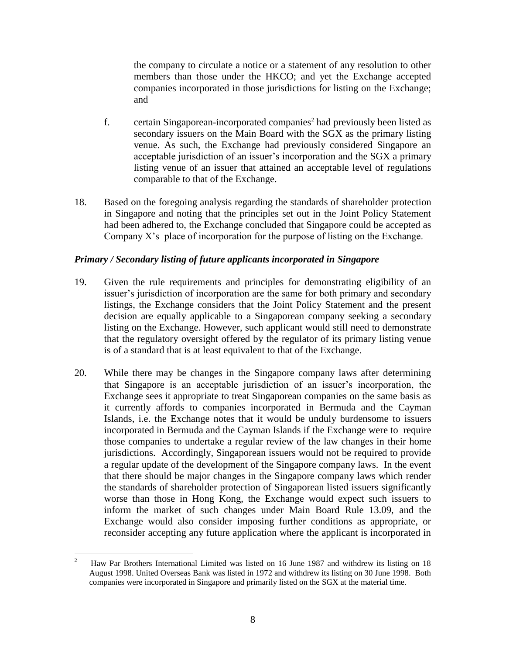the company to circulate a notice or a statement of any resolution to other members than those under the HKCO; and yet the Exchange accepted companies incorporated in those jurisdictions for listing on the Exchange; and

- f. certain Singaporean-incorporated companies<sup>2</sup> had previously been listed as secondary issuers on the Main Board with the SGX as the primary listing venue. As such, the Exchange had previously considered Singapore an acceptable jurisdiction of an issuer's incorporation and the SGX a primary listing venue of an issuer that attained an acceptable level of regulations comparable to that of the Exchange.
- 18. Based on the foregoing analysis regarding the standards of shareholder protection in Singapore and noting that the principles set out in the Joint Policy Statement had been adhered to, the Exchange concluded that Singapore could be accepted as Company X's place of incorporation for the purpose of listing on the Exchange.

#### *Primary / Secondary listing of future applicants incorporated in Singapore*

- 19. Given the rule requirements and principles for demonstrating eligibility of an issuer's jurisdiction of incorporation are the same for both primary and secondary listings, the Exchange considers that the Joint Policy Statement and the present decision are equally applicable to a Singaporean company seeking a secondary listing on the Exchange. However, such applicant would still need to demonstrate that the regulatory oversight offered by the regulator of its primary listing venue is of a standard that is at least equivalent to that of the Exchange.
- 20. While there may be changes in the Singapore company laws after determining that Singapore is an acceptable jurisdiction of an issuer's incorporation, the Exchange sees it appropriate to treat Singaporean companies on the same basis as it currently affords to companies incorporated in Bermuda and the Cayman Islands, i.e. the Exchange notes that it would be unduly burdensome to issuers incorporated in Bermuda and the Cayman Islands if the Exchange were to require those companies to undertake a regular review of the law changes in their home jurisdictions. Accordingly, Singaporean issuers would not be required to provide a regular update of the development of the Singapore company laws. In the event that there should be major changes in the Singapore company laws which render the standards of shareholder protection of Singaporean listed issuers significantly worse than those in Hong Kong, the Exchange would expect such issuers to inform the market of such changes under Main Board Rule 13.09, and the Exchange would also consider imposing further conditions as appropriate, or reconsider accepting any future application where the applicant is incorporated in

 $\frac{1}{2}$  Haw Par Brothers International Limited was listed on 16 June 1987 and withdrew its listing on 18 August 1998. United Overseas Bank was listed in 1972 and withdrew its listing on 30 June 1998. Both companies were incorporated in Singapore and primarily listed on the SGX at the material time.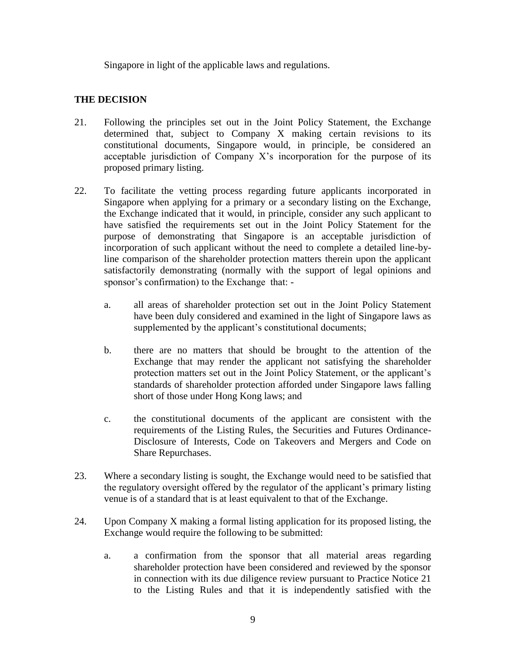Singapore in light of the applicable laws and regulations.

## **THE DECISION**

- 21. Following the principles set out in the Joint Policy Statement, the Exchange determined that, subject to Company X making certain revisions to its constitutional documents, Singapore would, in principle, be considered an acceptable jurisdiction of Company X's incorporation for the purpose of its proposed primary listing.
- 22. To facilitate the vetting process regarding future applicants incorporated in Singapore when applying for a primary or a secondary listing on the Exchange, the Exchange indicated that it would, in principle, consider any such applicant to have satisfied the requirements set out in the Joint Policy Statement for the purpose of demonstrating that Singapore is an acceptable jurisdiction of incorporation of such applicant without the need to complete a detailed line-byline comparison of the shareholder protection matters therein upon the applicant satisfactorily demonstrating (normally with the support of legal opinions and sponsor's confirmation) to the Exchange that:
	- a. all areas of shareholder protection set out in the Joint Policy Statement have been duly considered and examined in the light of Singapore laws as supplemented by the applicant's constitutional documents;
	- b. there are no matters that should be brought to the attention of the Exchange that may render the applicant not satisfying the shareholder protection matters set out in the Joint Policy Statement, or the applicant's standards of shareholder protection afforded under Singapore laws falling short of those under Hong Kong laws; and
	- c. the constitutional documents of the applicant are consistent with the requirements of the Listing Rules, the Securities and Futures Ordinance-Disclosure of Interests, Code on Takeovers and Mergers and Code on Share Repurchases.
- 23. Where a secondary listing is sought, the Exchange would need to be satisfied that the regulatory oversight offered by the regulator of the applicant's primary listing venue is of a standard that is at least equivalent to that of the Exchange.
- 24. Upon Company X making a formal listing application for its proposed listing, the Exchange would require the following to be submitted:
	- a. a confirmation from the sponsor that all material areas regarding shareholder protection have been considered and reviewed by the sponsor in connection with its due diligence review pursuant to Practice Notice 21 to the Listing Rules and that it is independently satisfied with the